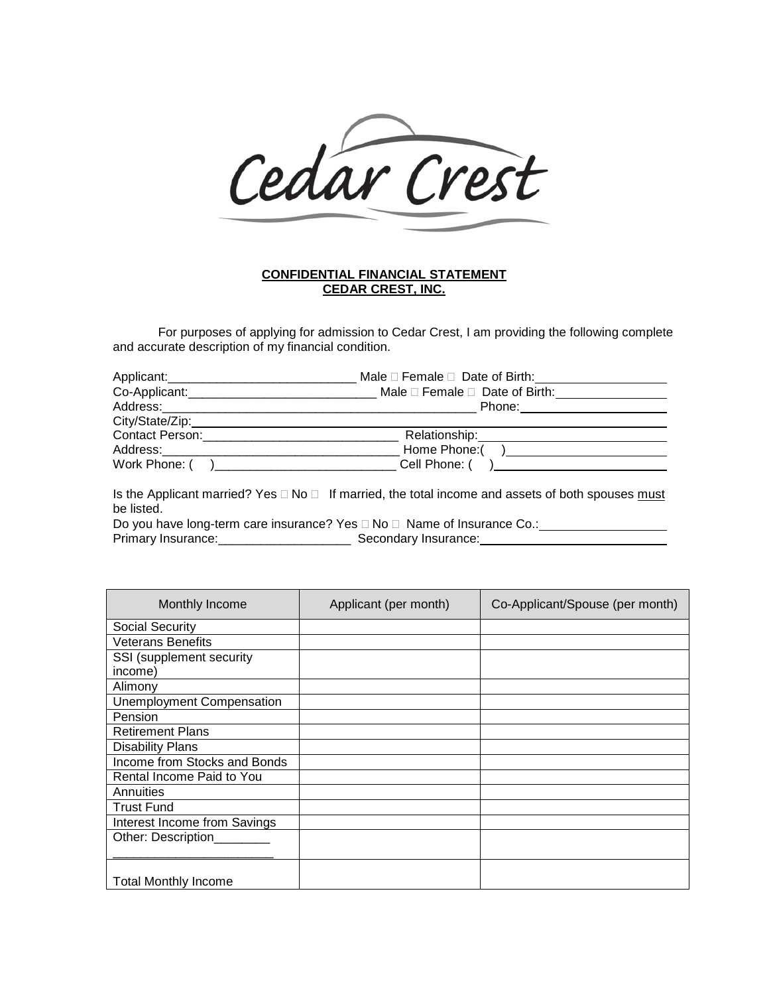

## **CONFIDENTIAL FINANCIAL STATEMENT CEDAR CREST, INC.**

For purposes of applying for admission to Cedar Crest, I am providing the following complete and accurate description of my financial condition.

| Applicant:                  | Male $\Box$ Female $\Box$ Date of Birth:       |  |
|-----------------------------|------------------------------------------------|--|
| Co-Applicant:______________ | Male $\square$ Female $\square$ Date of Birth: |  |
| Address:                    | Phone:                                         |  |
| City/State/Zip:             |                                                |  |
| Contact Person:             | Relationship:                                  |  |
| Address:                    | Home Phone:(                                   |  |
| Work Phone: (               | Cell Phone: (                                  |  |

Is the Applicant married? Yes  $\Box$  No  $\Box$  If married, the total income and assets of both spouses must be listed.

Do you have long-term care insurance? Yes No Name of Insurance Co.: Primary Insurance: \_\_\_\_\_\_\_\_\_\_\_\_\_\_\_\_\_\_\_\_\_\_\_\_\_\_\_\_\_\_ Secondary Insurance: \_\_\_\_\_\_\_\_\_

| Monthly Income                   | Applicant (per month) | Co-Applicant/Spouse (per month) |
|----------------------------------|-----------------------|---------------------------------|
| <b>Social Security</b>           |                       |                                 |
| <b>Veterans Benefits</b>         |                       |                                 |
| SSI (supplement security         |                       |                                 |
| income)                          |                       |                                 |
| Alimony                          |                       |                                 |
| <b>Unemployment Compensation</b> |                       |                                 |
| Pension                          |                       |                                 |
| <b>Retirement Plans</b>          |                       |                                 |
| <b>Disability Plans</b>          |                       |                                 |
| Income from Stocks and Bonds     |                       |                                 |
| Rental Income Paid to You        |                       |                                 |
| Annuities                        |                       |                                 |
| <b>Trust Fund</b>                |                       |                                 |
| Interest Income from Savings     |                       |                                 |
| Other: Description               |                       |                                 |
|                                  |                       |                                 |
| <b>Total Monthly Income</b>      |                       |                                 |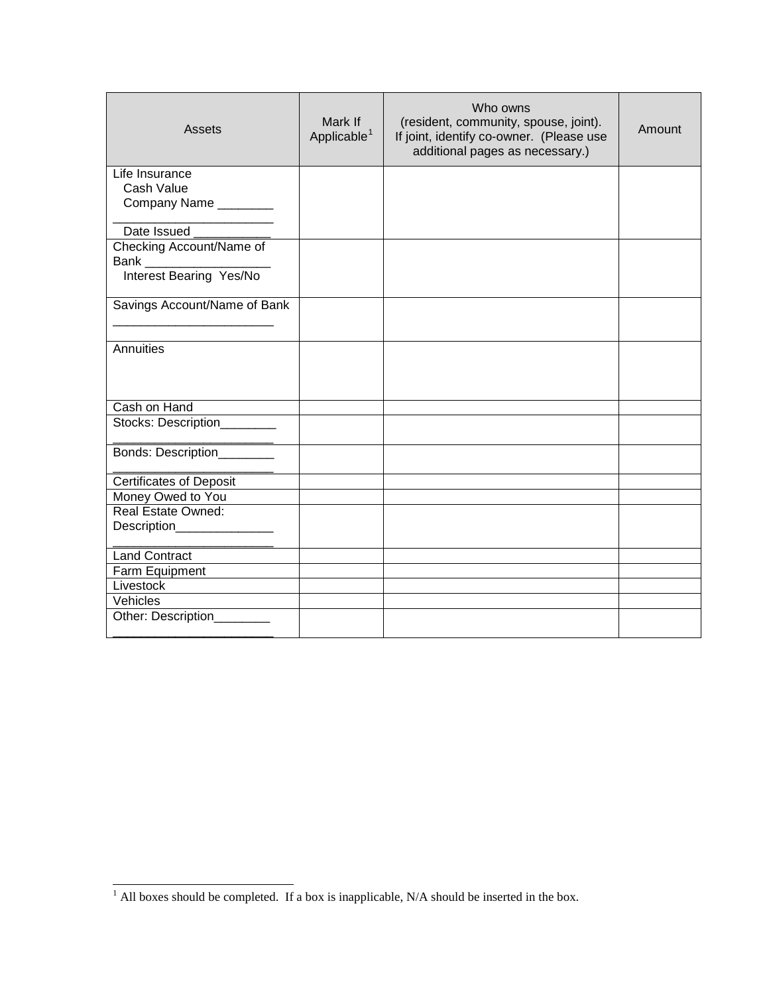| <b>Assets</b>                | Mark If<br>Applicable <sup>1</sup> | Who owns<br>(resident, community, spouse, joint).<br>If joint, identify co-owner. (Please use<br>additional pages as necessary.) | Amount |
|------------------------------|------------------------------------|----------------------------------------------------------------------------------------------------------------------------------|--------|
| Life Insurance               |                                    |                                                                                                                                  |        |
| Cash Value                   |                                    |                                                                                                                                  |        |
| Company Name ________        |                                    |                                                                                                                                  |        |
| Date Issued                  |                                    |                                                                                                                                  |        |
| Checking Account/Name of     |                                    |                                                                                                                                  |        |
| Bank _______________         |                                    |                                                                                                                                  |        |
| Interest Bearing Yes/No      |                                    |                                                                                                                                  |        |
|                              |                                    |                                                                                                                                  |        |
| Savings Account/Name of Bank |                                    |                                                                                                                                  |        |
|                              |                                    |                                                                                                                                  |        |
| Annuities                    |                                    |                                                                                                                                  |        |
|                              |                                    |                                                                                                                                  |        |
|                              |                                    |                                                                                                                                  |        |
| Cash on Hand                 |                                    |                                                                                                                                  |        |
| Stocks: Description________  |                                    |                                                                                                                                  |        |
|                              |                                    |                                                                                                                                  |        |
| Bonds: Description_________  |                                    |                                                                                                                                  |        |
|                              |                                    |                                                                                                                                  |        |
| Certificates of Deposit      |                                    |                                                                                                                                  |        |
| Money Owed to You            |                                    |                                                                                                                                  |        |
| Real Estate Owned:           |                                    |                                                                                                                                  |        |
| Description________________  |                                    |                                                                                                                                  |        |
| <b>Land Contract</b>         |                                    |                                                                                                                                  |        |
| Farm Equipment               |                                    |                                                                                                                                  |        |
| Livestock                    |                                    |                                                                                                                                  |        |
| Vehicles                     |                                    |                                                                                                                                  |        |
| Other: Description_________  |                                    |                                                                                                                                  |        |
|                              |                                    |                                                                                                                                  |        |

<span id="page-1-0"></span><sup>-</sup> $<sup>1</sup>$  All boxes should be completed. If a box is inapplicable, N/A should be inserted in the box.</sup>